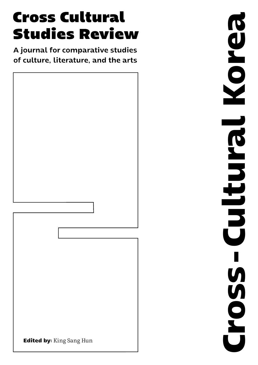# **Cross Cultural Studies Review**

A journal for comparative studies of culture, literature, and the arts



**Cross-Cultural Korea**Korea **Cross-Cultural**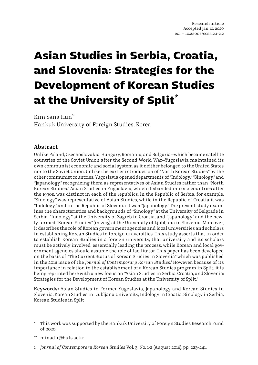# **Asian Studies in Serbia, Croatia, and Slovenia: Strategies for the Development of Korean Studies at the University of Split\***

Kim Sang Hun**\*\*** Hankuk University of Foreign Studies, Korea

#### **Abstract**

Unlike Poland, Czechoslovakia, Hungary, Romania, and Bulgaria—which became satellite countries of the Soviet Union after the Second World War—Yugoslavia maintained its own communist economic and social system as it neither belonged to the United States nor to the Soviet Union. Unlike the earlier introduction of *"*North Korean Studies*"* by the other communist countries, Yugoslavia opened departments of *"*Indology,*" "*Sinology,*"* and *"*Japanology,*"* recognizing them as representatives of Asian Studies rather than *"*North Korean Studies.*"* Asian Studies in Yugoslavia, which disbanded into six countries after the 1990s, was distinct in each of the republics. In the Republic of Serbia, for example, *"*Sinology*"* was representative of Asian Studies, while in the Republic of Croatia it was *"*Indology,*"* and in the Republic of Slovenia it was *"*Japanology.*"* The present study examines the characteristics and backgrounds of *"*Sinology*"* at the University of Belgrade in Serbia, *"*Indology*"* at the University of Zagreb in Croatia, and *"*Japanology*"* and the newly-formed *"*Korean Studies*"* (in 2015) at the University of Ljubljana in Slovenia. Moreover, it describes the role of Korean government agencies and local universities and scholars in establishing Korean Studies in foreign universities. This study asserts that in order to establish Korean Studies in a foreign university, that university and its scholars must be actively involved, essentially leading the process, while Korean and local government agencies should assume the role of facilitator. This paper has been developed on the basis of *"*The Current Status of Korean Studies in Slovenia*"* which was published in the 2016 issue of the *Journal of Contemporary Korean Studies*. **1** However, because of its importance in relation to the establishment of a Korean Studies program in Split, it is being reprinted here with a new focus on *"*Asian Studies in Serbia, Croatia, and Slovenia: Strategies for the Development of Korean Studies at the University of Split.*"*

**Keywords**: Asian Studies in Former Yugoslavia, Japanology and Korean Studies in Slovenia, Korean Studies in Ljubljana University, Indology in Croatia, Sinology in Serbia, Korean Studies in Split

- \* This work was supported by the Hankuk University of Foreign Studies Research Fund of 2020.
- \*\* minadir@hufs.ac.kr
- 1 *Journal of Contemporary Korean Studies* Vol. 3, No. 1-2 (August 2016): pp. 223~241.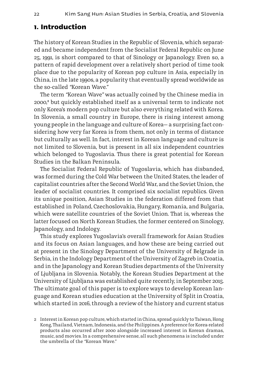#### **1. Introduction**

The history of Korean Studies in the Republic of Slovenia, which separated and became independent from the Socialist Federal Republic on June 25, 1991, is short compared to that of Sinology or Japanology. Even so, a pattern of rapid development over a relatively short period of time took place due to the popularity of Korean pop culture in Asia, especially in China, in the late 1990s, a popularity that eventually spread worldwide as the so-called *"*Korean Wave.*"*

The term *"*Korean Wave*"* was actually coined by the Chinese media in 2000,**<sup>2</sup>** but quickly established itself as a universal term to indicate not only Korea's modern pop culture but also everything related with Korea. In Slovenia, a small country in Europe, there is rising interest among young people in the language and culture of Korea— a surprising fact considering how very far Korea is from them, not only in terms of distance but culturally as well. In fact, interest in Korean language and culture is not limited to Slovenia, but is present in all six independent countries which belonged to Yugoslavia. Thus there is great potential for Korean Studies in the Balkan Peninsula.

The Socialist Federal Republic of Yugoslavia, which has disbanded, was formed during the Cold War between the United States, the leader of capitalist countries after the Second World War, and the Soviet Union, the leader of socialist countries. It comprised six socialist republics. Given its unique position, Asian Studies in the federation differed from that established in Poland, Czechoslovakia, Hungary, Romania, and Bulgaria, which were satellite countries of the Soviet Union. That is, whereas the latter focused on North Korean Studies, the former centered on Sinology, Japanology, and Indology.

This study explores Yugoslavia's overall framework for Asian Studies and its focus on Asian languages, and how these are being carried out at present in the Sinology Department of the University of Belgrade in Serbia, in the Indology Department of the University of Zagreb in Croatia, and in the Japanology and Korean Studies departments of the University of Ljubljana in Slovenia. Notably, the Korean Studies Department at the University of Ljubljana was established quite recently, in September 2015. The ultimate goal of this paper is to explore ways to develop Korean language and Korean studies education at the University of Split in Croatia, which started in 2016, through a review of the history and current status

<sup>2</sup> Interest in Korean pop culture, which started in China, spread quickly to Taiwan, Hong Kong, Thailand, Vietnam, Indonesia, and the Philippines. A preference for Korea-related products also occurred after 2000 alongside increased interest in Korean dramas, music, and movies. In a comprehensive sense, all such phenomena is included under the umbrella of the *"*Korean Wave.*"*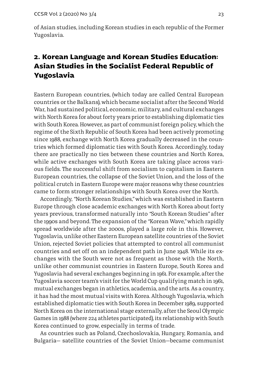of Asian studies, including Korean studies in each republic of the Former Yugoslavia.

## **2. Korean Language and Korean Studies Education: Asian Studies in the Socialist Federal Republic of Yugoslavia**

Eastern European countries, (which today are called Central European countries or the Balkans), which became socialist after the Second World War, had sustained political, economic, military, and cultural exchanges with North Korea for about forty years prior to establishing diplomatic ties with South Korea. However, as part of communist foreign policy, which the regime of the Sixth Republic of South Korea had been actively promoting since 1988, exchange with North Korea gradually decreased in the countries which formed diplomatic ties with South Korea. Accordingly, today there are practically no ties between these countries and North Korea, while active exchanges with South Korea are taking place across various fields. The successful shift from socialism to capitalism in Eastern European countries, the collapse of the Soviet Union, and the loss of the political crutch in Eastern Europe were major reasons why these countries came to form stronger relationships with South Korea over the North.

Accordingly, *"*North Korean Studies,*"* which was established in Eastern Europe through close academic exchanges with North Korea about forty years previous, transformed naturally into *"*South Korean Studies*"* after the 1990s and beyond. The expansion of the *"*Korean Wave,*"* which rapidly spread worldwide after the 2000s, played a large role in this. However, Yugoslavia, unlike other Eastern European satellite countries of the Soviet Union, rejected Soviet policies that attempted to control all communist countries and set off on an independent path in June 1948. While its exchanges with the South were not as frequent as those with the North, unlike other communist countries in Eastern Europe, South Korea and Yugoslavia had several exchanges beginning in 1961. For example, after the Yugoslavia soccer team's visit for the World Cup qualifying match in 1961, mutual exchanges began in athletics, academia, and the arts. As a country, it has had the most mutual visits with Korea. Although Yugoslavia, which established diplomatic ties with South Korea in December 1989, supported North Korea on the international stage externally, after the Seoul Olympic Games in 1988 (where 224 athletes participated), its relationship with South Korea continued to grow, especially in terms of trade.

As countries such as Poland, Czechoslovakia, Hungary, Romania, and Bulgaria— satellite countries of the Soviet Union—became communist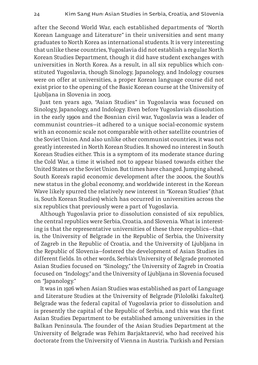after the Second World War, each established departments of *"*North Korean Language and Literature*"* in their universities and sent many graduates to North Korea as international students. It is very interesting that unlike these countries, Yugoslavia did not establish a regular North Korean Studies Department, though it did have student exchanges with universities in North Korea. As a result, in all six republics which constituted Yugoslavia, though Sinology, Japanology, and Indology courses were on offer at universities, a proper Korean language course did not exist prior to the opening of the Basic Korean course at the University of Ljubljana in Slovenia in 2003.

Just ten years ago, *"*Asian Studies*"* in Yugoslavia was focused on Sinology, Japanology, and Indology. Even before Yugoslavia's dissolution in the early 1990s and the Bosnian civil war, Yugoslavia was a leader of communist countries—it adhered to a unique social-economic system with an economic scale not comparable with other satellite countries of the Soviet Union. And also unlike other communist countries, it was not greatly interested in North Korean Studies. It showed no interest in South Korean Studies either. This is a symptom of its moderate stance during the Cold War, a time it wished not to appear biased towards either the United States or the Soviet Union. But times have changed. Jumping ahead, South Korea's rapid economic development after the 2000s, the South's new status in the global economy, and worldwide interest in the Korean Wave likely spurred the relatively new interest in *"*Korean Studies*"* (that is, South Korean Studies) which has occurred in universities across the six republics that previously were a part of Yugoslavia.

Although Yugoslavia prior to dissolution consisted of six republics, the central republics were Serbia, Croatia, and Slovenia. What is interesting is that the representative universities of these three republics—that is, the University of Belgrade in the Republic of Serbia, the University of Zagreb in the Republic of Croatia, and the University of Ljubljana in the Republic of Slovenia—fostered the development of Asian Studies in different fields. In other words, Serbia's University of Belgrade promoted Asian Studies focused on *"*Sinology,*"* the University of Zagreb in Croatia focused on *"*Indology,*"* and the University of Ljubljana in Slovenia focused on *"*Japanology.*"*

It was in 1926 when Asian Studies was established as part of Language and Literature Studies at the University of Belgrade (Filološki fakultet). Belgrade was the federal capital of Yugoslavia prior to dissolution and is presently the capital of the Republic of Serbia, and this was the first Asian Studies Department to be established among universities in the Balkan Peninsula. The founder of the Asian Studies Department at the University of Belgrade was Fehim Barjaktarević, who had received his doctorate from the University of Vienna in Austria. Turkish and Persian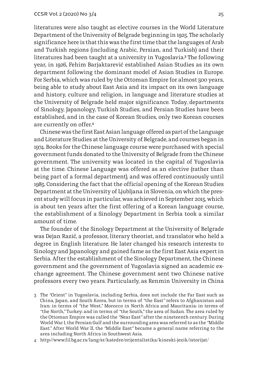literatures were also taught as elective courses in the World Literature Department of the University of Belgrade beginning in 1925. The scholarly significance here is that this was the first time that the languages of Arab and Turkish regions (including Arabic, Persian, and Turkish) and their literatures had been taught at a university in Yugoslavia.**<sup>3</sup>** The following year, in 1926, Fehim Barjaktarević established Asian Studies as its own department following the dominant model of Asian Studies in Europe. For Serbia, which was ruled by the Ottoman Empire for almost 500 years, being able to study about East Asia and its impact on its own language and history, culture and religion, in language and literature studies at the University of Belgrade held major significance. Today, departments of Sinology, Japanology, Turkish Studies, and Persian Studies have been established, and in the case of Korean Studies, only two Korean courses are currently on offer.**<sup>4</sup>**

Chinese was the first East Asian language offered as part of the Language and Literature Studies at the University of Belgrade, and courses began in 1974. Books for the Chinese language course were purchased with special government funds donated to the University of Belgrade from the Chinese government. The university was located in the capital of Yugoslavia at the time. Chinese Language was offered as an elective (rather than being part of a formal department), and was offered continuously until 1985. Considering the fact that the official opening of the Korean Studies Department at the University of Ljubljana in Slovenia, on which the present study will focus in particular, was achieved in September 2015, which is about ten years after the first offering of a Korean language course, the establishment of a Sinology Department in Serbia took a similar amount of time.

The founder of the Sinology Department at the University of Belgrade was Dejan Razić, a professor, literary theorist, and translator who held a degree in English literature. He later changed his research interests to Sinology and Japanology and gained fame as the first East Asia expert in Serbia. After the establishment of the Sinology Department, the Chinese government and the government of Yugoslavia signed an academic exchange agreement. The Chinese government sent two Chinese native professors every two years. Particularly, as Renmin University in China

<sup>3</sup> The *"*Orient*"* in Yugoslavia, including Serbia, does not include the Far East such as China, Japan, and South Korea, but in terms of *"*the East*"* refers to Afghanistan and Iran; in terms of *"*the West,*"* Morocco in North Africa and Mauritania; in terms of *"*the North,*"* Turkey; and in terms of *"*the South,*"* the area of Sudan. The area ruled by the Ottoman Empire was called the *"*Near East*"* after the nineteenth century. During World War I, the Persian Gulf and the surrounding area was referred to as the *"*Middle East.*"* After World War II, the *"*Middle East*"* became a general name referring to the area including North Africa in Southwest Asia.

<sup>4</sup> http://www.fil.bg.ac.rs/lang/sr/katedre/orijentalistika/kineski-jezik/istorijat/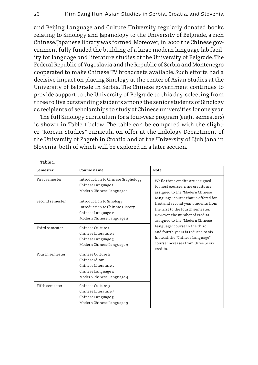and Beijing Language and Culture University regularly donated books relating to Sinology and Japanology to the University of Belgrade, a rich Chinese/Japanese library was formed. Moreover, in 2000 the Chinese government fully funded the building of a large modern language lab facility for language and literature studies at the University of Belgrade. The Federal Republic of Yugoslavia and the Republic of Serbia and Montenegro cooperated to make Chinese TV broadcasts available. Such efforts had a decisive impact on placing Sinology at the center of Asian Studies at the University of Belgrade in Serbia. The Chinese government continues to provide support to the University of Belgrade to this day, selecting from three to five outstanding students among the senior students of Sinology as recipients of scholarships to study at Chinese universities for one year.

The full Sinology curriculum for a four-year program (eight semesters) is shown in Table 1 below. The table can be compared with the slighter *"*Korean Studies*"* curricula on offer at the Indology Department of the University of Zagreb in Croatia and at the University of Ljubljana in Slovenia, both of which will be explored in a later section.

| Semester        | Course name                                                                                                    | Note                                                                                                                                                                                                                                                                                                                                                                                                                                                           |  |
|-----------------|----------------------------------------------------------------------------------------------------------------|----------------------------------------------------------------------------------------------------------------------------------------------------------------------------------------------------------------------------------------------------------------------------------------------------------------------------------------------------------------------------------------------------------------------------------------------------------------|--|
| First semester  | Introduction to Chinese Graphology<br>Chinese Language 1<br>Modern Chinese Language 1                          | While three credits are assigned<br>to most courses, nine credits are<br>assigned to the "Modern Chinese<br>Language" course that is offered for<br>first and second-year students from<br>the first to the fourth semester.<br>However, the number of credits<br>assigned to the "Modern Chinese<br>Language" course in the third<br>and fourth years is reduced to six.<br>Instead, the "Chinese Language"<br>course increases from three to six<br>credits. |  |
| Second semester | Introduction to Sinology<br>Introduction to Chinese History<br>Chinese Language 2<br>Modern Chinese Language 2 |                                                                                                                                                                                                                                                                                                                                                                                                                                                                |  |
| Third semester  | Chinese Culture 1<br>Chinese Literature 1<br>Chinese Language 3<br>Modern Chinese Language 3                   |                                                                                                                                                                                                                                                                                                                                                                                                                                                                |  |
| Fourth semester | Chinese Culture 2<br>Chinese Idiom<br>Chinese Literature 2<br>Chinese Language 4<br>Modern Chinese Language 4  |                                                                                                                                                                                                                                                                                                                                                                                                                                                                |  |
| Fifth semester  | Chinese Culture 3<br>Chinese Literature 3<br>Chinese Language 5<br>Modern Chinese Language 5                   |                                                                                                                                                                                                                                                                                                                                                                                                                                                                |  |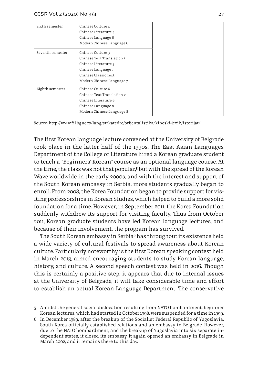| Sixth semester   | Chinese Culture 4<br>Chinese Literature 4<br>Chinese Language 6<br>Modern Chinese Language 6                                                       |
|------------------|----------------------------------------------------------------------------------------------------------------------------------------------------|
| Seventh semester | Chinese Culture 5<br>Chinese Text Translation 1<br>Chinese Literature 5<br>Chinese Language 7<br>Chinese Classic Text<br>Modern Chinese Language 7 |
| Eighth semester  | Chinese Culture 6<br>Chinese Text Translation 2<br>Chinese Literature 6<br>Chinese Language 8<br>Modern Chinese Language 8                         |

Source: http://www.fil.bg.ac.rs/lang/sr/katedre/orijentalistika/kineski-jezik/istorijat/

The first Korean language lecture convened at the University of Belgrade took place in the latter half of the 1990s. The East Asian Languages Department of the College of Literature hired a Korean graduate student to teach a *"*Beginners' Korean*"* course as an optional language course. At the time, the class was not that popular,**<sup>5</sup>** but with the spread of the Korean Wave worldwide in the early 2000s, and with the interest and support of the South Korean embassy in Serbia, more students gradually began to enroll. From 2008, the Korea Foundation began to provide support for visiting professorships in Korean Studies, which helped to build a more solid foundation for a time. However, in September 2011, the Korea Foundation suddenly withdrew its support for visiting faculty. Thus from October 2011, Korean graduate students have led Korean language lectures, and because of their involvement, the program has survived.

The South Korean embassy in Serbia**6** has throughout its existence held a wide variety of cultural festivals to spread awareness about Korean culture. Particularly noteworthy is the first Korean speaking contest held in March 2015, aimed encouraging students to study Korean language, history, and culture. A second speech contest was held in 2016. Though this is certainly a positive step, it appears that due to internal issues at the University of Belgrade, it will take considerable time and effort to establish an actual Korean Language Department. The conservative

- 5 Amidst the general social dislocation resulting from NATO bombardment, beginner Korean lectures, which had started in October 1998, were suspended for a time in 1999.
- 6 In December 1989, after the breakup of the Socialist Federal Republic of Yugoslavia, South Korea officially established relations and an embassy in Belgrade. However, due to the NATO bombardment, and the breakup of Yugoslavia into six separate independent states, it closed its embassy. It again opened an embassy in Belgrade in March 2002, and it remains there to this day.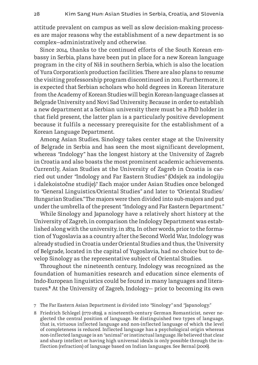attitude prevalent on campus as well as slow decision-making processes are major reasons why the establishment of a new department is so complex—administratively and otherwise.

Since 2014, thanks to the continued efforts of the South Korean embassy in Serbia, plans have been put in place for a new Korean language program in the city of Niš in southern Serbia, which is also the location of Yura Corporation's production facilities. There are also plans to resume the visiting professorship program discontinued in 2011. Furthermore, it is expected that Serbian scholars who hold degrees in Korean literature from the Academy of Korean Studies will begin Korean-language classes at Belgrade University and Novi Sad University. Because in order to establish a new department at a Serbian university there must be a PhD holder in that field present, the latter plan is a particularly positive development because it fulfils a necessary prerequisite for the establishment of a Korean Language Department.

Among Asian Studies, Sinology takes center stage at the University of Belgrade in Serbia and has seen the most significant development, whereas *"*Indology*"* has the longest history at the University of Zagreb in Croatia and also boasts the most prominent academic achievements. Currently, Asian Studies at the University of Zagreb in Croatia is carried out under *"*Indology and Far Eastern Studies*"* (Odsjek za indologiju i dalekoistočne studije).<sup>7</sup> Each major under Asian Studies once belonged to *"*General Linguistics/Oriental Studies*"* and later to *"*Oriental Studies/ Hungarian Studies.*"* The majors were then divided into sub-majors and put under the umbrella of the present *"*Indology and Far Eastern Department.*"*

While Sinology and Japanology have a relatively short history at the University of Zagreb, in comparison the Indology Department was established along with the university, in 1874. In other words, prior to the formation of Yugoslavia as a country after the Second World War, Indology was already studied in Croatia under Oriental Studies and thus, the University of Belgrade, located in the capital of Yugoslavia, had no choice but to develop Sinology as the representative subject of Oriental Studies.

Throughout the nineteenth century, Indology was recognized as the foundation of humanities research and education since elements of Indo-European linguistics could be found in many languages and literatures.**8** At the University of Zagreb, Indology— prior to becoming its own

8 Friedrich Schlegel (1772-1829), a nineteenth-century German Romanticist, never neglected the central position of language. He distinguished two types of language, that is, virtuous inflected language and non-inflected language of which the level of completeness is reduced. Inflected language has a psychological origin whereas non-inflected language is an *"*animal*"* or instinctual language. He believed that clear and sharp intellect or having high universal ideals is only possible through the inflection (refraction) of language based on Indian languages. See Bernal (2006).

<sup>7</sup> The Far Eastern Asian Department is divided into *"*Sinology*"* and *"*Japanology.*"*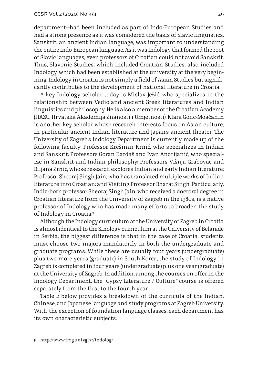department—had been included as part of Indo-European Studies and had a strong presence as it was considered the basis of Slavic linguistics. Sanskrit, an ancient Indian language, was important to understanding the entire Indo-European language. As it was Indology that formed the root of Slavic languages, even professors of Croatian could not avoid Sanskrit. Thus, Slavonic Studies, which included Croatian Studies, also included Indology, which had been established at the university at the very beginning. Indology in Croatia is not simply a field of Asian Studies but significantly contributes to the development of national literature in Croatia.

A key Indology scholar today is Mislav Ježić, who specializes in the relationship between Vedic and ancient Greek literatures and Indian linguistics and philosophy. He is also a member of the Croatian Academy (HAZU, Hrvatska Akademija Znanosti i Umjetnosti). Klara Gönc-Moačanin is another key scholar whose research interests focus on Asian culture, in particular ancient Indian literature and Japan's ancient theater. The University of Zagreb's Indology Department is currently made up of the following faculty: Professor Krešimir Krnić, who specializes in Indian and Sanskrit; Professors Goran Kardaš and Ivan Andrijanić, who specialize in Sanskrit and Indian philosophy; Professors Višnja Grabovac and Biljana Zrnić, whose research explores Indian and early Indian literature; Professor Sheoraj Singh Jain, who has translated multiple works of Indian literature into Croatian; and Visiting Professor Bharat Singh. Particularly, India-born professor Sheoraj Singh Jain, who received a doctoral degree in Croatian literature from the University of Zagreb in the 1980s, is a native professor of Indology who has made many efforts to broaden the study of Indology in Croatia.**<sup>9</sup>**

Although the Indology curriculum at the University of Zagreb in Croatia is almost identical to the Sinology curriculum at the University of Belgrade in Serbia, the biggest difference is that in the case of Croatia, students must choose two majors mandatorily in both the undergraduate and graduate programs. While these are usually four years (undergraduate) plus two more years (graduate) in South Korea, the study of Indology in Zagreb is completed in four years (undergraduate) plus one year (graduate) at the University of Zagreb. In addition, among the courses on offer in the Indology Department, the *"*Gypsy Literature / Culture*"* course is offered separately from the first to the fourth year.

Table 2 below provides a breakdown of the curricula of the Indian, Chinese, and Japanese language and study programs at Zagreb University. With the exception of foundation language classes, each department has its own characteristic subjects.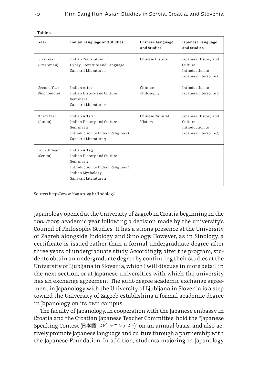| Year                       | <b>Indian Language and Studies</b>                                                                                                          | <b>Chinese Language</b><br>and Studies | Japanese Language<br>and Studies                                            |
|----------------------------|---------------------------------------------------------------------------------------------------------------------------------------------|----------------------------------------|-----------------------------------------------------------------------------|
| First Year<br>(Freshman)   | Indian Civilization<br>Gypsy Literature and Language<br>Sanskrit Literature 1                                                               | Chinese History                        | Japanese History and<br>Culture<br>Introduction to<br>Japanese Literature 1 |
| Second Year<br>(Sophomore) | Indian Arts 1<br>Indian History and Culture<br>Seminar1<br>Sanskrit Literature 2                                                            | Chinese<br>Philosophy                  | Introduction to<br>Japanese Literature 2                                    |
| Third Year<br>(Junior)     | Indian Arts 2<br>Indian History and Culture<br>Seminar <sub>2</sub><br>Introduction to Indian Religions 1<br>Sanskrit Literature 3          | Chinese Cultural<br>History            | Japanese History and<br>Culture<br>Introduction to<br>Japanese Literature 3 |
| Fourth Year<br>(Senior)    | Indian Arts 3<br>Indian History and Culture<br>Seminar 3<br>Introduction to Indian Religions 2<br>Indian Mythology<br>Sanskrit Literature 4 |                                        |                                                                             |

 **Table 2.**

Source: http://www.ffzg.unizg.hr/indolog/

Japanology opened at the University of Zagreb in Croatia beginning in the 2004/2005 academic year following a decision made by the university's Council of Philosophy Studies . It has a strong presence at the University of Zagreb alongside Indology and Sinology. However, as in Sinology, a certificate is issued rather than a formal undergraduate degree after three years of undergraduate study. Accordingly, after the program, students obtain an undergraduate degree by continuing their studies at the University of Ljubljana in Slovenia, which I will discuss in more detail in the next section, or at Japanese universities with which the university has an exchange agreement. The joint-degree academic exchange agreement in Japanology with the University of Ljubljana in Slovenia is a step toward the University of Zagreb establishing a formal academic degree in Japanology on its own campus.

The faculty of Japanology, in cooperation with the Japanese embassy in Croatia and the Croatian Japanese Teacher Committee, hold the *"*Japanese Speaking Contest (日本語 スピ–チコンテスト)*"* on an annual basis, and also actively promote Japanese language and culture through a partnership with the Japanese Foundation. In addition, students majoring in Japanology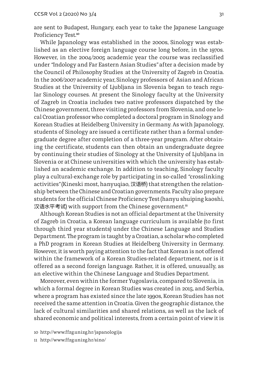are sent to Budapest, Hungary, each year to take the Japanese Language Proficiency Test.**<sup>10</sup>**

While Japanology was established in the 2000s, Sinology was established as an elective foreign language course long before, in the 1970s. However, in the 2004/2005 academic year the course was reclassified under *"*Indology and Far Eastern Asian Studies*"* after a decision made by the Council of Philosophy Studies at the University of Zagreb in Croatia. In the 2006/2007 academic year, Sinology professors of Asian and African Studies at the University of Ljubljana in Slovenia began to teach regular Sinology courses. At present the Sinology faculty at the University of Zagreb in Croatia includes two native professors dispatched by the Chinese government, three visiting professors from Slovenia, and one local Croatian professor who completed a doctoral program in Sinology and Korean Studies at Heidelberg University in Germany. As with Japanology, students of Sinology are issued a certificate rather than a formal undergraduate degree after completion of a three-year program. After obtaining the certificate, students can then obtain an undergraduate degree by continuing their studies of Sinology at the University of Ljubljana in Slovenia or at Chinese universities with which the university has established an academic exchange. In addition to teaching, Sinology faculty play a cultural-exchange role by participating in so-called *"*crosslinking activities*"* (Kineski most, hanyuqiao, 汉语桥) that strengthen the relationship between the Chinese and Croatian governments. Faculty also prepare students for the official Chinese Proficiency Test (hanyu shuiping kaoshi, 汉语水平考试) with support from the Chinese government.<sup>11</sup>

Although Korean Studies is not an official department at the University of Zagreb in Croatia, a Korean language curriculum is available (to first through third year students) under the Chinese Language and Studies Department. The program is taught by a Croatian, a scholar who completed a PhD program in Korean Studies at Heidelberg University in Germany. However, it is worth paying attention to the fact that Korean is not offered within the framework of a Korean Studies-related department, nor is it offered as a second foreign language. Rather, it is offered, unusually, as an elective within the Chinese Language and Studies Department.

Moreover, even within the former Yugoslavia, compared to Slovenia, in which a formal degree in Korean Studies was created in 2015, and Serbia, where a program has existed since the late 1990s, Korean Studies has not received the same attention in Croatia. Given the geographic distance, the lack of cultural similarities and shared relations, as well as the lack of shared economic and political interests, from a certain point of view it is

<sup>10</sup> http://www.ffzg.unizg.hr/japanologija

<sup>11</sup> http://www.ffzg.unizg.hr/sino/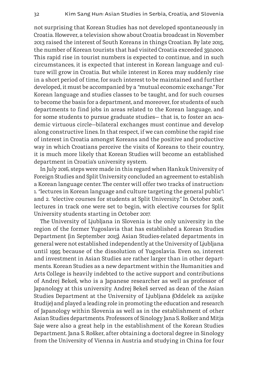not surprising that Korean Studies has not developed spontaneously in Croatia. However, a television show about Croatia broadcast in November 2013 raised the interest of South Koreans in things Croatian. By late 2015, the number of Korean tourists that had visited Croatia exceeded 350,000. This rapid rise in tourist numbers is expected to continue, and in such circumstances, it is expected that interest in Korean language and culture will grow in Croatia. But while interest in Korea may suddenly rise in a short period of time, for such interest to be maintained and further developed, it must be accompanied by a *"*mutual economic exchange.*"* For Korean language and studies classes to be taught, and for such courses to become the basis for a department, and moreover, for students of such departments to find jobs in areas related to the Korean language, and for some students to pursue graduate studies— that is, to foster an academic virtuous circle—bilateral exchanges must continue and develop along constructive lines. In that respect, if we can combine the rapid rise of interest in Croatia amongst Koreans and the positive and productive way in which Croatians perceive the visits of Koreans to their country, it is much more likely that Korean Studies will become an established department in Croatia's university system.

In July 2016, steps were made in this regard when Hankuk University of Foreign Studies and Split University concluded an agreement to establish a Korean language center. The center will offer two tracks of instruction: 1. *"*lectures in Korean language and culture targeting the general public*"*; and 2. *"*elective courses for students at Split University.*"* In October 2016, lectures in track one were set to begin, with elective courses for Split University students starting in October 2017.

The University of Ljubljana in Slovenia is the only university in the region of the former Yugoslavia that has established a Korean Studies Department (in September 2015). Asian Studies-related departments in general were not established independently at the University of Ljubljana until 1995 because of the dissolution of Yugoslavia. Even so, interest and investment in Asian Studies are rather larger than in other departments. Korean Studies as a new department within the Humanities and Arts College is heavily indebted to the active support and contributions of Andrej Bekeš, who is a Japanese researcher as well as professor of Japanology at this university. Andrej Bekeš served as dean of the Asian Studies Department at the University of Ljubljana (Oddelek za azijske študije) and played a leading role in promoting the education and research of Japanology within Slovenia as well as in the establishment of other Asian Studies departments. Professors of Sinology Jana S. Rošker and Mitja Saje were also a great help in the establishment of the Korean Studies Department. Jana S. Rošker, after obtaining a doctoral degree in Sinology from the University of Vienna in Austria and studying in China for four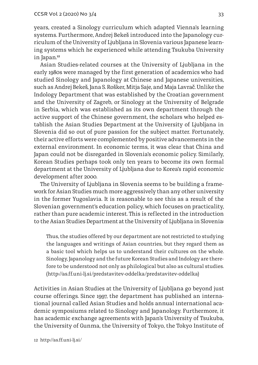years, created a Sinology curriculum which adapted Vienna's learning systems. Furthermore, Andrej Bekeš introduced into the Japanology curriculum of the University of Ljubljana in Slovenia various Japanese learning systems which he experienced while attending Tsukuba University in Japan.**<sup>12</sup>**

Asian Studies-related courses at the University of Ljubljana in the early 1980s were managed by the first generation of academics who had studied Sinology and Japanology at Chinese and Japanese universities, such as Andrej Bekeš, Jana S. Rošker, Mitja Saje, and Maja Lavrač. Unlike the Indology Department that was established by the Croatian government and the University of Zagreb, or Sinology at the University of Belgrade in Serbia, which was established as its own department through the active support of the Chinese government, the scholars who helped establish the Asian Studies Department at the University of Ljubljana in Slovenia did so out of pure passion for the subject matter. Fortunately, their active efforts were complemented by positive advancements in the external environment. In economic terms, it was clear that China and Japan could not be disregarded in Slovenia's economic policy. Similarly, Korean Studies perhaps took only ten years to become its own formal department at the University of Ljubljana due to Korea's rapid economic development after 2000.

The University of Ljubljana in Slovenia seems to be building a framework for Asian Studies much more aggressively than any other university in the former Yugoslavia. It is reasonable to see this as a result of the Slovenian government's education policy, which focuses on practicality, rather than pure academic interest. This is reflected in the introduction to the Asian Studies Department at the University of Ljubljana in Slovenia:

Thus, the studies offered by our department are not restricted to studying the languages and writings of Asian countries, but they regard them as a basic tool which helps us to understand their cultures on the whole. Sinology, Japanology and the future Korean Studies and Indology are therefore to be understood not only as philological but also as cultural studies. (http://as.ff.uni-lj.si/predstavitev-oddelka/predstavitev-oddelka)

Activities in Asian Studies at the University of Ljubljana go beyond just course offerings. Since 1997, the department has published an international journal called Asian Studies and holds annual international academic symposiums related to Sinology and Japanology. Furthermore, it has academic exchange agreements with Japan's University of Tsukuba, the University of Gunma, the University of Tokyo, the Tokyo Institute of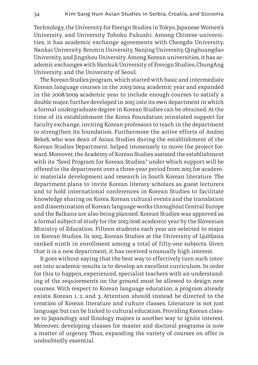Technology, the University for Foreign Studies in Tokyo, Japanese Women's University, and University Tohoku Fukushi. Among Chinese universities, it has academic exchange agreements with Chengdu University, Nankai University, Renmin University, Nanjing University, Qinghuangdao University, and Jingzhou University. Among Korean universities, it has academic exchanges with Hankuk University of Foreign Studies, ChungAng University, and the University of Seoul.

The Korean Studies program, which started with basic and intermediate Korean language courses in the 2003/2004 academic year and expanded in the 2008/2009 academic year to include enough courses to satisfy a double major, further developed in 2015 into its own department in which a formal undergraduate degree in Korean Studies can be obtained. At the time of its establishment the Korea Foundation reinstated support for faculty exchange, inviting Korean professors to teach in the department to strengthen its foundation. Furthermore the active efforts of Andrej Bekeš, who was dean of Asian Studies during the establishment of the Korean Studies Department, helped immensely to move the project forward. Moreover, the Academy of Korean Studies assisted the establishment with its *"*Seed Program for Korean Studies,*"* under which support will be offered to the department over a three-year period from 2015 for academic materials development and research in South Korean literature. The department plans to invite Korean literary scholars as guest lecturers and to hold international conferences in Korean Studies to facilitate knowledge sharing on Korea. Korean cultural events and the translation and dissemination of Korean language works throughout Central Europe and the Balkans are also being planned. Korean Studies was approved as a formal subject of study for the 2015/2016 academic year by the Slovenian Ministry of Education. Fifteen students each year are selected to major in Korean Studies. In 2015, Korean Studies at the University of Ljubljana ranked ninth in enrollment among a total of fifty-one subjects. Given that it is a new department, it has received unusually high interest.

It goes without saying that the best way to effectively turn such interest into academic results is to develop an excellent curriculum. In order for this to happen, experienced, specialist teachers with an understanding of the requirements on the ground must be allowed to design new courses. With respect to Korean language education, a program already exists: Korean 1, 2, and 3. Attention should instead be directed to the creation of Korean literature and culture classes. Literature is not just language, but can be linked to cultural education. Providing Korean classes to Japanology and Sinology majors is another way to ignite interest. Moreover, developing classes for master and doctoral programs is now a matter of urgency. Thus, expanding the variety of courses on offer is undoubtedly essential.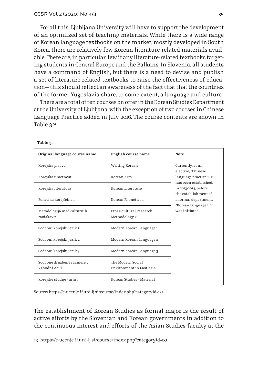For all this, Ljubljana University will have to support the development of an optimized set of teaching materials. While there is a wide range of Korean language textbooks on the market, mostly developed in South Korea, there are relatively few Korean literature-related materials available. There are, in particular, few if any literature-related textbooks targeting students in Central Europe and the Balkans. In Slovenia, all students have a command of English, but there is a need to devise and publish a set of literature-related textbooks to raise the effectiveness of education— this should reflect an awareness of the fact that that the countries of the former Yugoslavia share, to some extent, a language and culture.

There are a total of ten courses on offer in the Korean Studies Department at the University of Ljubljana, with the exception of two courses in Chinese Language Practice added in July 2016. The course contents are shown in Table 3.**<sup>13</sup>**

| Original language course name               | English course name                           | Note                                                             |
|---------------------------------------------|-----------------------------------------------|------------------------------------------------------------------|
| Korejska pisava                             | Writing Korean                                | Currently, as an<br>elective, "Chinese                           |
| Korejska umetnost                           | Korean Arts                                   | language practice 1, 2"<br>has been established.                 |
| Korejska literatura                         | Korean Literature                             | In 2013-2014, before<br>the establishment of                     |
| Fonetika korejščine 1                       | Korean Phonetics 1                            | a formal department,<br>"Korean language 1, 2"<br>was initiated. |
| Metodologija medkulturnih<br>raziskav 2     | Cross-cultural Research<br>Methodology 2      |                                                                  |
| Sodobni korejski jezik 1                    | Modern Korean Language 1                      |                                                                  |
| Sodobni korejski jezik 2                    | Modern Korean Language 2                      |                                                                  |
| Sodobni korejski jezik 3                    | Modern Korean Language 3                      |                                                                  |
| Sodobne družbene razmere v<br>Vzhodni Aziji | The Modern Social<br>Environment in East Asia |                                                                  |
| Korejske študije - arhiv                    | Korean Studies - Material                     |                                                                  |

 **Table 3.**

Source: https://e-ucenje.ff.uni-lj.si/course/index.php?categoryid=131

The establishment of Korean Studies as formal major is the result of active efforts by the Slovenian and Korean governments in addition to the continuous interest and efforts of the Asian Studies faculty at the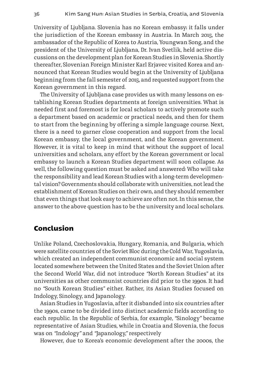University of Ljubljana. Slovenia has no Korean embassy; it falls under the jurisdiction of the Korean embassy in Austria. In March 2015, the ambassador of the Republic of Korea to Austria, Youngwan Song, and the president of the University of Ljubljana, Dr. Ivan Svetlik, held active discussions on the development plan for Korean Studies in Slovenia. Shortly thereafter, Slovenian Foreign Minister Karl Erjavec visited Korea and announced that Korean Studies would begin at the University of Ljubljana beginning from the fall semester of 2015, and requested support from the Korean government in this regard.

The University of Ljubljana case provides us with many lessons on establishing Korean Studies departments at foreign universities. What is needed first and foremost is for local scholars to actively promote such a department based on academic or practical needs, and then for them to start from the beginning by offering a simple language course. Next, there is a need to garner close cooperation and support from the local Korean embassy, the local government, and the Korean government. However, it is vital to keep in mind that without the support of local universities and scholars, any effort by the Korean government or local embassy to launch a Korean Studies department will soon collapse. As well, the following question must be asked and answered: Who will take the responsibility and lead Korean Studies with a long-term developmental vision? Governments should collaborate with universities, not lead the establishment of Korean Studies on their own, and they should remember that even things that look easy to achieve are often not. In this sense, the answer to the above question has to be the university and local scholars.

#### **Conclusion**

Unlike Poland, Czechoslovakia, Hungary, Romania, and Bulgaria, which were satellite countries of the Soviet Bloc during the Cold War, Yugoslavia, which created an independent communist economic and social system located somewhere between the United States and the Soviet Union after the Second World War, did not introduce *"*North Korean Studies*"* at its universities as other communist countries did prior to the 1990s. It had no *"*South Korean Studies*"* either. Rather, its Asian Studies focused on Indology, Sinology, and Japanology.

Asian Studies in Yugoslavia, after it disbanded into six countries after the 1990s, came to be divided into distinct academic fields according to each republic. In the Republic of Serbia, for example, *"*Sinology*"* became representative of Asian Studies, while in Croatia and Slovenia, the focus was on *"*Indology*"* and *"*Japanology,*"* respectively

However, due to Korea's economic development after the 2000s, the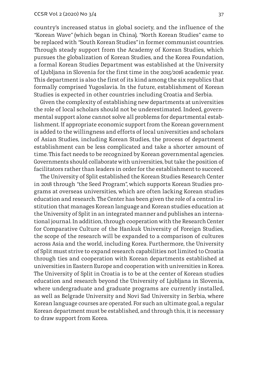country's increased status in global society, and the influence of the *"*Korean Wave*"* (which began in China), *"*North Korean Studies*"* came to be replaced with *"*South Korean Studies*"* in former communist countries. Through steady support from the Academy of Korean Studies, which pursues the globalization of Korean Studies, and the Korea Foundation, a formal Korean Studies Department was established at the University of Ljubljana in Slovenia for the first time in the 2015/2016 academic year. This department is also the first of its kind among the six republics that formally comprised Yugoslavia. In the future, establishment of Korean Studies is expected in other countries including Croatia and Serbia.

Given the complexity of establishing new departments at universities the role of local scholars should not be underestimated. Indeed, governmental support alone cannot solve all problems for departmental establishment. If appropriate economic support from the Korean government is added to the willingness and efforts of local universities and scholars of Asian Studies, including Korean Studies, the process of department establishment can be less complicated and take a shorter amount of time. This fact needs to be recognized by Korean governmental agencies. Governments should collaborate with universities, but take the position of facilitators rather than leaders in order for the establishment to succeed.

The University of Split established the Korean Studies Research Center in 2018 through *"*the Seed Program*"*, which supports Korean Studies programs at overseas universities, which are often lacking Korean studies education and research. The Center has been given the role of a central institution that manages Korean language and Korean studies education at the University of Split in an integrated manner and publishes an international journal. In addition, through cooperation with the Research Center for Comparative Culture of the Hankuk University of Foreign Studies, the scope of the research will be expanded to a comparison of cultures across Asia and the world, including Korea. Furthermore, the University of Split must strive to expand research capabilities not limited to Croatia through ties and cooperation with Korean departments established at universities in Eastern Europe and cooperation with universities in Korea. The University of Split in Croatia is to be at the center of Korean studies education and research beyond the University of Ljubljana in Slovenia, where undergraduate and graduate programs are currently installed, as well as Belgrade University and Novi Sad University in Serbia, where Korean language courses are operated. For such an ultimate goal, a regular Korean department must be established, and through this, it is necessary to draw support from Korea.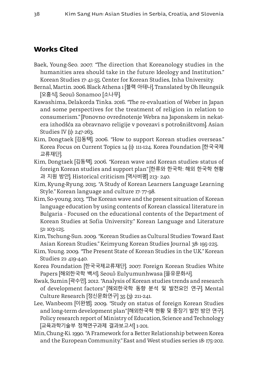## **Works Cited**

- Baek, Young-Seo. 2007. *"*The direction that Koreanology studies in the humanities area should take in the future: Ideology and Institution.*"* Korean Studies 17: 41-55. Center for Korean Studies, Inha University.
- Bernal, Martin. 2006. Black Athena 1 [블랙 아테나]. Translated by Oh Heungsik [오흥식]. Seoul: Sonamoo [소나무].
- Kawashima, Delakorda Tinka. 2016. *"*The re-evaluation of Weber in Japan and some perspectives for the treatment of religion in relation to consumerism.*"* [Ponovno ovrednotenje Webra na Japonskem in nekatera izhodšća za obravnavo religije v povezavi s potrošništvom]. Asian Studies IV (1): 247-263.
- Kim, Dongtaek [김동택]. 2006. *"*How to support Korean studies overseas.*"* Korea Focus on Current Topics 14 (1): 111-124. Korea Foundation [한국국제 교류재단].
- Kim, Dongtaek [김동택]. 2006. *"*Korean wave and Korean studies: status of foreign Korean studies and support plan*"* [한류와 한국학: 해외 한국학 현황 과 지원 방안]. Historical criticism [역사비평] 213- 240.
- Kim, Kyung-Ryung. 2015. *"*A Study of Korean Learners Language Learning Style.*"* Korean language and culture 17: 77-98.
- Kim, So-young. 2013. *"*The Korean wave and the present situation of Korean language education by using contents of Korean classical literature in Bulgaria - Focused on the educational contents of the Department of Korean Studies at Sofia University.*"* Korean Language and Literature 51: 103-125.
- Kim, Tschung-Sun. 2009. *"*Korean Studies as Cultural Studies: Toward East Asian Korean Studies.*"* Keimyung Korean Studies Journal 38: 195-225.
- Kim, Young. 2009. *"*The Present State of Korean Studies in the U.K.*"* Korean Studies 21: 419-440.
- Korea Foundation [한국국제교류재단]. 2007. Foreign Korean Studies White Papers [해외한국학 백서]. Seoul: Eulyumunhwasa [을유문화사].
- Kwak, Sumin [곽수민]. 2012. *"*Analysis of Korean studies trends and research of development factors*"* [해외한국학 동향 분석 및 발전요인 연구]. Mental Culture Research [정신문화연구] 35 (3): 211-241.
- Lee, Wanbeom [이완범]. 2009. *"*Study on status of foreign Korean Studies and long-term development plan*"* [해외한국학 현황 및 중장기 발전 방안 연구]. Policy research report of Ministry of Education, Science and Technology [교육과학기술부 정책연구과제 결과보고서] 1-201.
- Min, Chung-Ki. 1990. *"*A Framework for a Better Relationship between Korea and the European Community.*"* East and West studies series 18: 175-202.